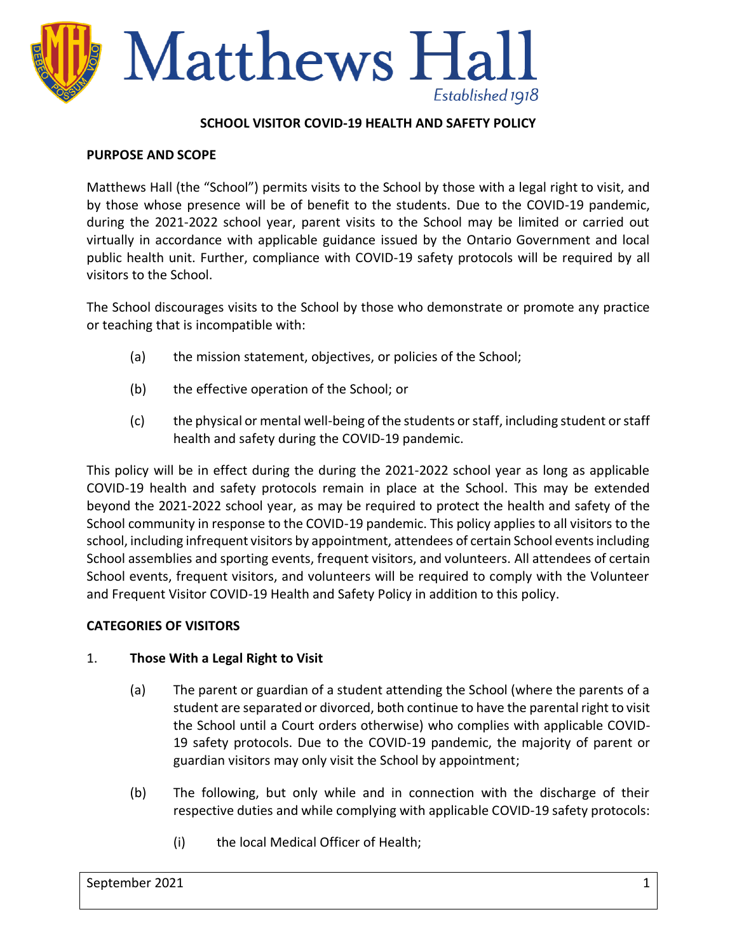

### **SCHOOL VISITOR COVID-19 HEALTH AND SAFETY POLICY**

#### **PURPOSE AND SCOPE**

Matthews Hall (the "School") permits visits to the School by those with a legal right to visit, and by those whose presence will be of benefit to the students. Due to the COVID-19 pandemic, during the 2021-2022 school year, parent visits to the School may be limited or carried out virtually in accordance with applicable guidance issued by the Ontario Government and local public health unit. Further, compliance with COVID-19 safety protocols will be required by all visitors to the School.

The School discourages visits to the School by those who demonstrate or promote any practice or teaching that is incompatible with:

- (a) the mission statement, objectives, or policies of the School;
- (b) the effective operation of the School; or
- (c) the physical or mental well-being of the students or staff, including student or staff health and safety during the COVID-19 pandemic.

This policy will be in effect during the during the 2021-2022 school year as long as applicable COVID-19 health and safety protocols remain in place at the School. This may be extended beyond the 2021-2022 school year, as may be required to protect the health and safety of the School community in response to the COVID-19 pandemic. This policy applies to all visitors to the school, including infrequent visitors by appointment, attendees of certain School events including School assemblies and sporting events, frequent visitors, and volunteers. All attendees of certain School events, frequent visitors, and volunteers will be required to comply with the Volunteer and Frequent Visitor COVID-19 Health and Safety Policy in addition to this policy.

### **CATEGORIES OF VISITORS**

### 1. **Those With a Legal Right to Visit**

- (a) The parent or guardian of a student attending the School (where the parents of a student are separated or divorced, both continue to have the parental right to visit the School until a Court orders otherwise) who complies with applicable COVID-19 safety protocols. Due to the COVID-19 pandemic, the majority of parent or guardian visitors may only visit the School by appointment;
- (b) The following, but only while and in connection with the discharge of their respective duties and while complying with applicable COVID-19 safety protocols:
	- (i) the local Medical Officer of Health;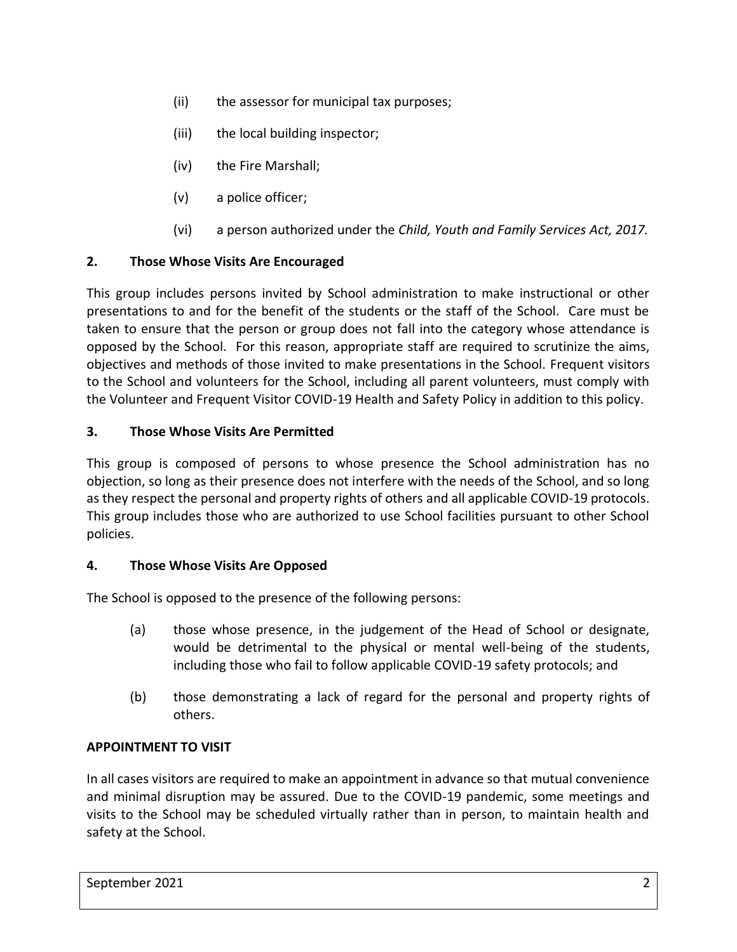- (ii) the assessor for municipal tax purposes;
- (iii) the local building inspector;
- (iv) the Fire Marshall;
- (v) a police officer;
- (vi) a person authorized under the *Child, Youth and Family Services Act, 2017.*

## **2. Those Whose Visits Are Encouraged**

This group includes persons invited by School administration to make instructional or other presentations to and for the benefit of the students or the staff of the School. Care must be taken to ensure that the person or group does not fall into the category whose attendance is opposed by the School. For this reason, appropriate staff are required to scrutinize the aims, objectives and methods of those invited to make presentations in the School. Frequent visitors to the School and volunteers for the School, including all parent volunteers, must comply with the Volunteer and Frequent Visitor COVID-19 Health and Safety Policy in addition to this policy.

## **3. Those Whose Visits Are Permitted**

This group is composed of persons to whose presence the School administration has no objection, so long as their presence does not interfere with the needs of the School, and so long as they respect the personal and property rights of others and all applicable COVID-19 protocols. This group includes those who are authorized to use School facilities pursuant to other School policies.

## **4. Those Whose Visits Are Opposed**

The School is opposed to the presence of the following persons:

- (a) those whose presence, in the judgement of the Head of School or designate, would be detrimental to the physical or mental well-being of the students, including those who fail to follow applicable COVID-19 safety protocols; and
- (b) those demonstrating a lack of regard for the personal and property rights of others.

## **APPOINTMENT TO VISIT**

In all cases visitors are required to make an appointment in advance so that mutual convenience and minimal disruption may be assured. Due to the COVID-19 pandemic, some meetings and visits to the School may be scheduled virtually rather than in person, to maintain health and safety at the School.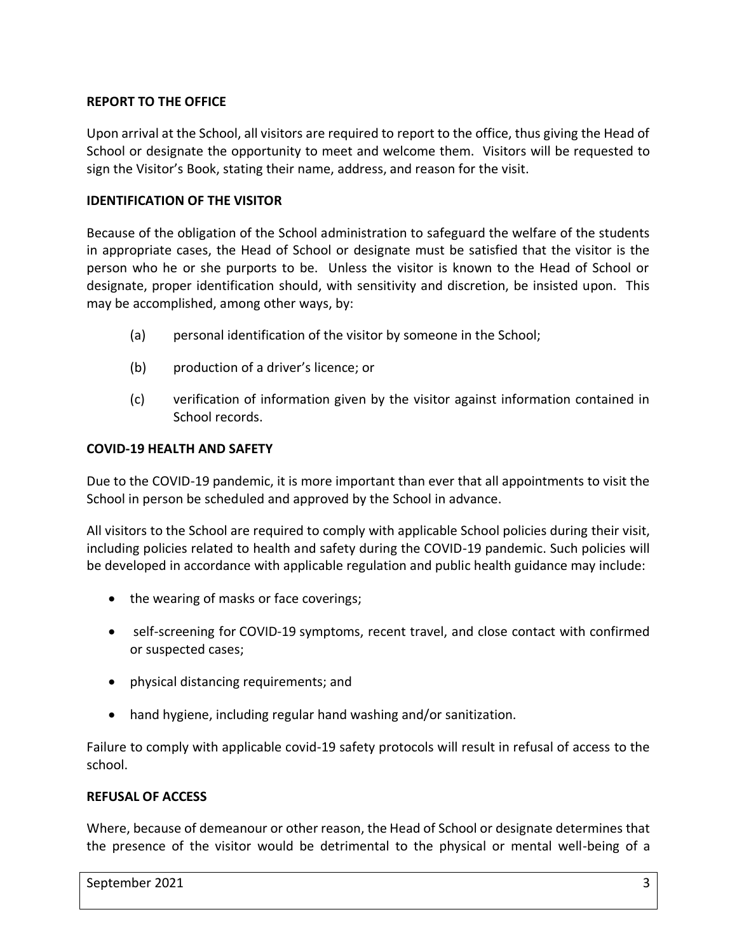# **REPORT TO THE OFFICE**

Upon arrival at the School, all visitors are required to report to the office, thus giving the Head of School or designate the opportunity to meet and welcome them. Visitors will be requested to sign the Visitor's Book, stating their name, address, and reason for the visit.

## **IDENTIFICATION OF THE VISITOR**

Because of the obligation of the School administration to safeguard the welfare of the students in appropriate cases, the Head of School or designate must be satisfied that the visitor is the person who he or she purports to be. Unless the visitor is known to the Head of School or designate, proper identification should, with sensitivity and discretion, be insisted upon. This may be accomplished, among other ways, by:

- (a) personal identification of the visitor by someone in the School;
- (b) production of a driver's licence; or
- (c) verification of information given by the visitor against information contained in School records.

## **COVID-19 HEALTH AND SAFETY**

Due to the COVID-19 pandemic, it is more important than ever that all appointments to visit the School in person be scheduled and approved by the School in advance.

All visitors to the School are required to comply with applicable School policies during their visit, including policies related to health and safety during the COVID-19 pandemic. Such policies will be developed in accordance with applicable regulation and public health guidance may include:

- the wearing of masks or face coverings;
- self-screening for COVID-19 symptoms, recent travel, and close contact with confirmed or suspected cases;
- physical distancing requirements; and
- hand hygiene, including regular hand washing and/or sanitization.

Failure to comply with applicable covid-19 safety protocols will result in refusal of access to the school.

## **REFUSAL OF ACCESS**

Where, because of demeanour or other reason, the Head of School or designate determines that the presence of the visitor would be detrimental to the physical or mental well-being of a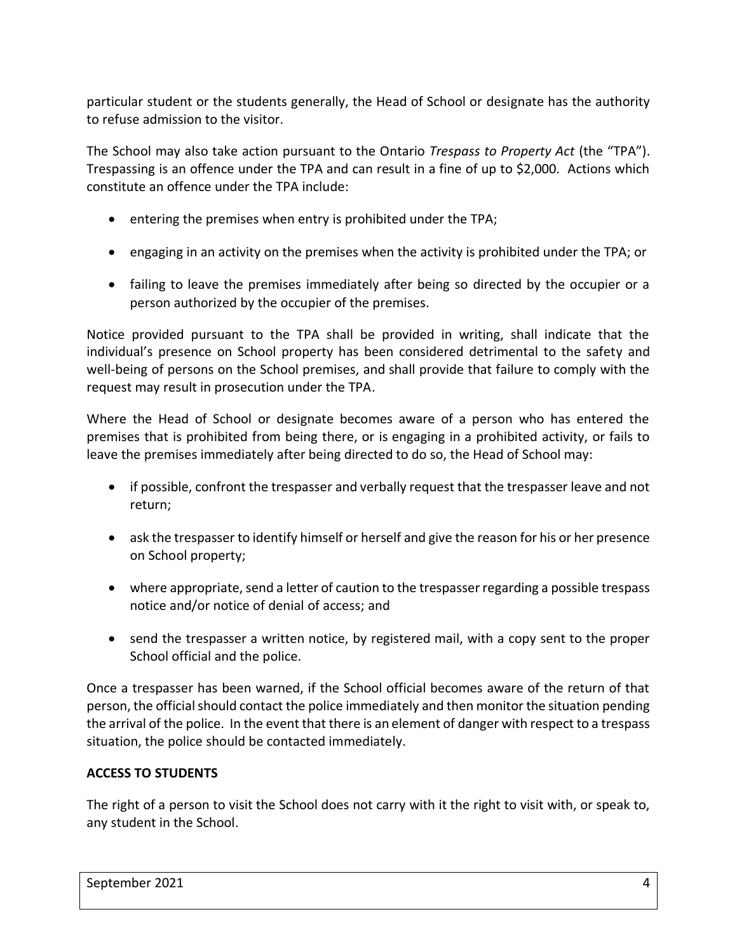particular student or the students generally, the Head of School or designate has the authority to refuse admission to the visitor.

The School may also take action pursuant to the Ontario *Trespass to Property Act* (the "TPA"). Trespassing is an offence under the TPA and can result in a fine of up to \$2,000. Actions which constitute an offence under the TPA include:

- entering the premises when entry is prohibited under the TPA;
- engaging in an activity on the premises when the activity is prohibited under the TPA; or
- failing to leave the premises immediately after being so directed by the occupier or a person authorized by the occupier of the premises.

Notice provided pursuant to the TPA shall be provided in writing, shall indicate that the individual's presence on School property has been considered detrimental to the safety and well-being of persons on the School premises, and shall provide that failure to comply with the request may result in prosecution under the TPA.

Where the Head of School or designate becomes aware of a person who has entered the premises that is prohibited from being there, or is engaging in a prohibited activity, or fails to leave the premises immediately after being directed to do so, the Head of School may:

- if possible, confront the trespasser and verbally request that the trespasser leave and not return;
- ask the trespasser to identify himself or herself and give the reason for his or her presence on School property;
- where appropriate, send a letter of caution to the trespasser regarding a possible trespass notice and/or notice of denial of access; and
- send the trespasser a written notice, by registered mail, with a copy sent to the proper School official and the police.

Once a trespasser has been warned, if the School official becomes aware of the return of that person, the official should contact the police immediately and then monitor the situation pending the arrival of the police. In the event that there is an element of danger with respect to a trespass situation, the police should be contacted immediately.

## **ACCESS TO STUDENTS**

The right of a person to visit the School does not carry with it the right to visit with, or speak to, any student in the School.